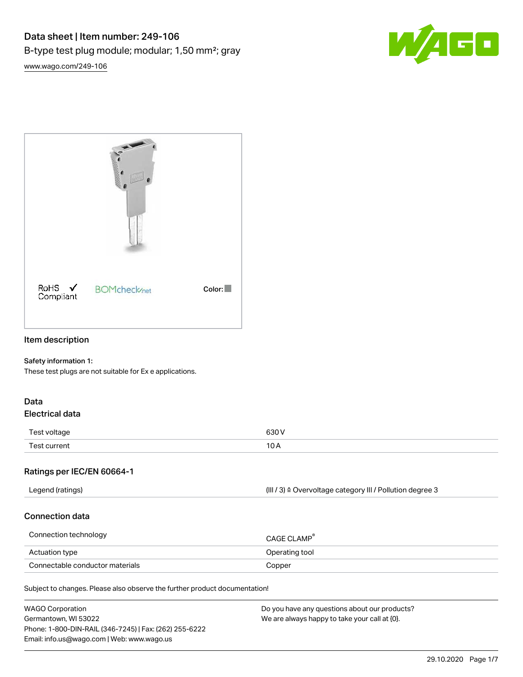



## Item description

#### Safety information 1:

These test plugs are not suitable for Ex e applications.

#### Data Electrical data

| $\overline{\phantom{0}}$ | conv  |
|--------------------------|-------|
| Test voltage             | $  -$ |
| Tact.                    | 10    |
| current                  | ັ     |
| __                       |       |

#### Ratings per IEC/EN 60664-1

| Legend (ratings) | (III / 3) ≙ Overvoltage category III / Pollution degree 3 |
|------------------|-----------------------------------------------------------|
|                  |                                                           |

#### Connection data

| Connection technology           | CAGE CLAMP <sup>®</sup> |
|---------------------------------|-------------------------|
| Actuation type                  | Operating tool          |
| Connectable conductor materials | Copper                  |

Subject to changes. Please also observe the further product documentation!

| <b>WAGO Corporation</b>                                | Do you have any questions about our products? |
|--------------------------------------------------------|-----------------------------------------------|
| Germantown, WI 53022                                   | We are always happy to take your call at {0}. |
| Phone: 1-800-DIN-RAIL (346-7245)   Fax: (262) 255-6222 |                                               |
| Email: info.us@wago.com   Web: www.wago.us             |                                               |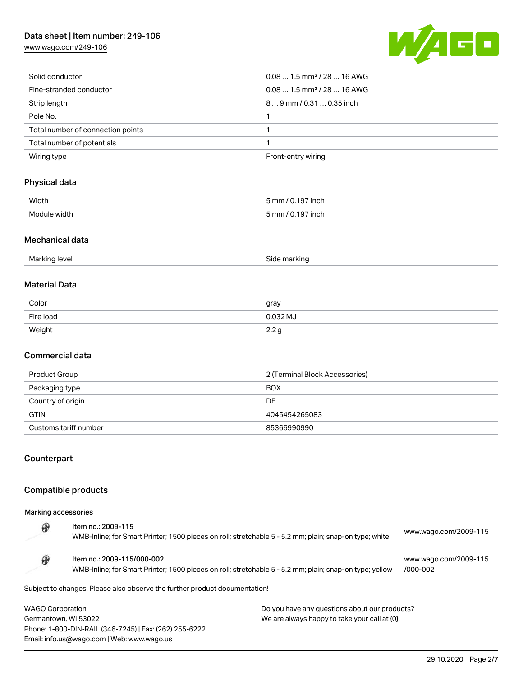## Data sheet | Item number: 249-106

[www.wago.com/249-106](http://www.wago.com/249-106)



| Solid conductor                   | $0.081.5$ mm <sup>2</sup> / 28  16 AWG |
|-----------------------------------|----------------------------------------|
| Fine-stranded conductor           | $0.081.5$ mm <sup>2</sup> / 28  16 AWG |
| Strip length                      | 89 mm / 0.31  0.35 inch                |
| Pole No.                          |                                        |
| Total number of connection points |                                        |
| Total number of potentials        |                                        |
| Wiring type                       | Front-entry wiring                     |

# Physical data

| Width        | 5 mm / 0.197 inch |
|--------------|-------------------|
| Module width | 5 mm / 0.197 inch |
|              |                   |

#### Mechanical data

| . .<br>יי י<br>ы<br>$\mathbf{v}$<br>$\cdot$<br>.<br>.<br>. . |  |
|--------------------------------------------------------------|--|
|--------------------------------------------------------------|--|

## Material Data

| Color     | gray             |
|-----------|------------------|
| Fire load | 0.032 MJ         |
| Weight    | 2.2 <sub>g</sub> |

## Commercial data

| Product Group         | 2 (Terminal Block Accessories) |
|-----------------------|--------------------------------|
| Packaging type        | <b>BOX</b>                     |
| Country of origin     | DE                             |
| <b>GTIN</b>           | 4045454265083                  |
| Customs tariff number | 85366990990                    |

## Counterpart

#### Compatible products

Email: info.us@wago.com | Web: www.wago.us

Marking accessories

|                         | Item no.: 2009-115<br>WMB-Inline; for Smart Printer; 1500 pieces on roll; stretchable 5 - 5.2 mm; plain; snap-on type; white          |                                               | www.wago.com/2009-115             |
|-------------------------|---------------------------------------------------------------------------------------------------------------------------------------|-----------------------------------------------|-----------------------------------|
|                         | Item no.: 2009-115/000-002<br>WMB-Inline; for Smart Printer; 1500 pieces on roll; stretchable 5 - 5.2 mm; plain; snap-on type; yellow |                                               | www.wago.com/2009-115<br>/000-002 |
|                         | Subject to changes. Please also observe the further product documentation!                                                            |                                               |                                   |
| <b>WAGO Corporation</b> |                                                                                                                                       | Do you have any questions about our products? |                                   |
| Germantown, WI 53022    |                                                                                                                                       | We are always happy to take your call at {0}. |                                   |
|                         | Phone: 1-800-DIN-RAIL (346-7245)   Fax: (262) 255-6222                                                                                |                                               |                                   |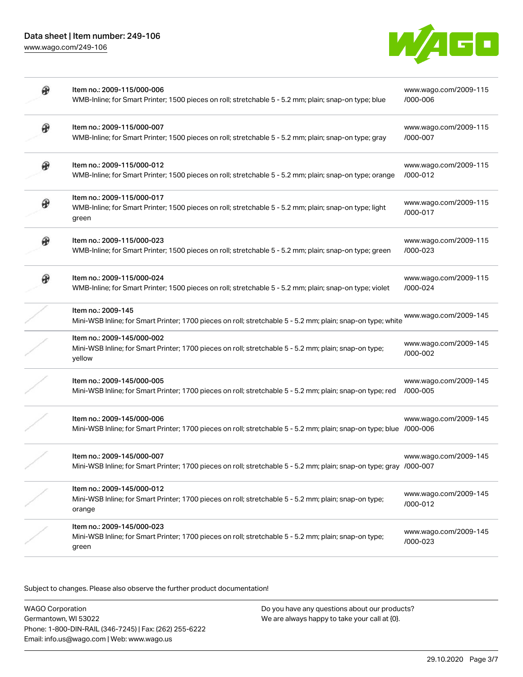

| ⊕<br>Item no.: 2009-115/000-007<br>www.wago.com/2009-115<br>WMB-Inline; for Smart Printer; 1500 pieces on roll; stretchable 5 - 5.2 mm; plain; snap-on type; gray<br>/000-007<br>₩<br>Item no.: 2009-115/000-012<br>www.wago.com/2009-115<br>WMB-Inline; for Smart Printer; 1500 pieces on roll; stretchable 5 - 5.2 mm; plain; snap-on type; orange<br>/000-012<br>Item no.: 2009-115/000-017<br>www.wago.com/2009-115<br>WMB-Inline; for Smart Printer; 1500 pieces on roll; stretchable 5 - 5.2 mm; plain; snap-on type; light<br>/000-017<br>green<br>⊕<br>Item no.: 2009-115/000-023<br>www.wago.com/2009-115<br>WMB-Inline; for Smart Printer; 1500 pieces on roll; stretchable 5 - 5.2 mm; plain; snap-on type; green<br>/000-023<br>Item no.: 2009-115/000-024<br>www.wago.com/2009-115<br>WMB-Inline; for Smart Printer; 1500 pieces on roll; stretchable 5 - 5.2 mm; plain; snap-on type; violet<br>/000-024<br>Item no.: 2009-145<br>www.wago.com/2009-145<br>Mini-WSB Inline; for Smart Printer; 1700 pieces on roll; stretchable 5 - 5.2 mm; plain; snap-on type; white | www.wago.com/2009-115 |
|--------------------------------------------------------------------------------------------------------------------------------------------------------------------------------------------------------------------------------------------------------------------------------------------------------------------------------------------------------------------------------------------------------------------------------------------------------------------------------------------------------------------------------------------------------------------------------------------------------------------------------------------------------------------------------------------------------------------------------------------------------------------------------------------------------------------------------------------------------------------------------------------------------------------------------------------------------------------------------------------------------------------------------------------------------------------------------------|-----------------------|
|                                                                                                                                                                                                                                                                                                                                                                                                                                                                                                                                                                                                                                                                                                                                                                                                                                                                                                                                                                                                                                                                                      |                       |
|                                                                                                                                                                                                                                                                                                                                                                                                                                                                                                                                                                                                                                                                                                                                                                                                                                                                                                                                                                                                                                                                                      |                       |
|                                                                                                                                                                                                                                                                                                                                                                                                                                                                                                                                                                                                                                                                                                                                                                                                                                                                                                                                                                                                                                                                                      |                       |
|                                                                                                                                                                                                                                                                                                                                                                                                                                                                                                                                                                                                                                                                                                                                                                                                                                                                                                                                                                                                                                                                                      |                       |
|                                                                                                                                                                                                                                                                                                                                                                                                                                                                                                                                                                                                                                                                                                                                                                                                                                                                                                                                                                                                                                                                                      |                       |
|                                                                                                                                                                                                                                                                                                                                                                                                                                                                                                                                                                                                                                                                                                                                                                                                                                                                                                                                                                                                                                                                                      |                       |
| Item no.: 2009-145/000-002<br>www.wago.com/2009-145<br>Mini-WSB Inline; for Smart Printer; 1700 pieces on roll; stretchable 5 - 5.2 mm; plain; snap-on type;<br>/000-002<br>yellow                                                                                                                                                                                                                                                                                                                                                                                                                                                                                                                                                                                                                                                                                                                                                                                                                                                                                                   |                       |
| Item no.: 2009-145/000-005<br>www.wago.com/2009-145<br>Mini-WSB Inline; for Smart Printer; 1700 pieces on roll; stretchable 5 - 5.2 mm; plain; snap-on type; red<br>/000-005                                                                                                                                                                                                                                                                                                                                                                                                                                                                                                                                                                                                                                                                                                                                                                                                                                                                                                         |                       |
| Item no.: 2009-145/000-006<br>www.wago.com/2009-145<br>Mini-WSB Inline; for Smart Printer; 1700 pieces on roll; stretchable 5 - 5.2 mm; plain; snap-on type; blue /000-006                                                                                                                                                                                                                                                                                                                                                                                                                                                                                                                                                                                                                                                                                                                                                                                                                                                                                                           |                       |
| Item no.: 2009-145/000-007<br>www.wago.com/2009-145<br>Mini-WSB Inline; for Smart Printer; 1700 pieces on roll; stretchable 5 - 5.2 mm; plain; snap-on type; gray /000-007                                                                                                                                                                                                                                                                                                                                                                                                                                                                                                                                                                                                                                                                                                                                                                                                                                                                                                           |                       |
| Item no.: 2009-145/000-012<br>www.wago.com/2009-145<br>Mini-WSB Inline; for Smart Printer; 1700 pieces on roll; stretchable 5 - 5.2 mm; plain; snap-on type;<br>/000-012<br>orange                                                                                                                                                                                                                                                                                                                                                                                                                                                                                                                                                                                                                                                                                                                                                                                                                                                                                                   |                       |
| Item no.: 2009-145/000-023<br>www.wago.com/2009-145<br>Mini-WSB Inline; for Smart Printer; 1700 pieces on roll; stretchable 5 - 5.2 mm; plain; snap-on type;<br>/000-023<br>green                                                                                                                                                                                                                                                                                                                                                                                                                                                                                                                                                                                                                                                                                                                                                                                                                                                                                                    |                       |

Subject to changes. Please also observe the further product documentation!

WAGO Corporation Germantown, WI 53022 Phone: 1-800-DIN-RAIL (346-7245) | Fax: (262) 255-6222 Email: info.us@wago.com | Web: www.wago.us

Do you have any questions about our products? We are always happy to take your call at {0}.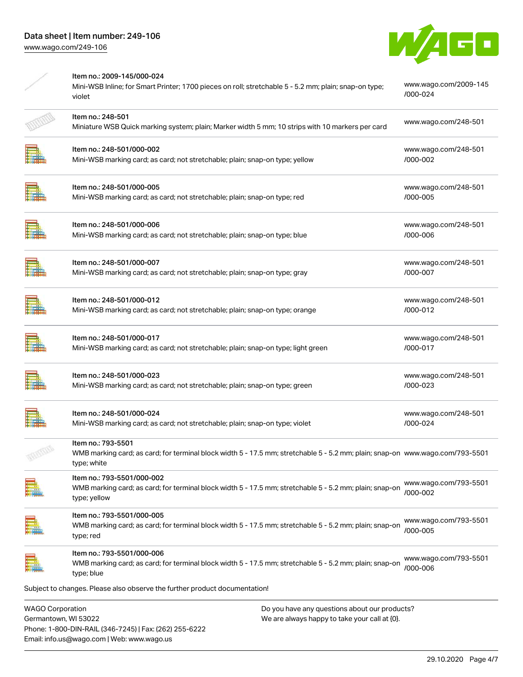Phone: 1-800-DIN-RAIL (346-7245) | Fax: (262) 255-6222

Email: info.us@wago.com | Web: www.wago.us



|                                                 | Item no.: 2009-145/000-024<br>Mini-WSB Inline; for Smart Printer; 1700 pieces on roll; stretchable 5 - 5.2 mm; plain; snap-on type;<br>violet                       |                                                                                                | www.wago.com/2009-145<br>/000-024 |
|-------------------------------------------------|---------------------------------------------------------------------------------------------------------------------------------------------------------------------|------------------------------------------------------------------------------------------------|-----------------------------------|
|                                                 | Item no.: 248-501<br>Miniature WSB Quick marking system; plain; Marker width 5 mm; 10 strips with 10 markers per card                                               |                                                                                                | www.wago.com/248-501              |
|                                                 | Item no.: 248-501/000-002<br>Mini-WSB marking card; as card; not stretchable; plain; snap-on type; yellow                                                           |                                                                                                | www.wago.com/248-501<br>/000-002  |
|                                                 | Item no.: 248-501/000-005<br>Mini-WSB marking card; as card; not stretchable; plain; snap-on type; red                                                              |                                                                                                | www.wago.com/248-501<br>/000-005  |
|                                                 | Item no.: 248-501/000-006<br>Mini-WSB marking card; as card; not stretchable; plain; snap-on type; blue                                                             |                                                                                                | www.wago.com/248-501<br>/000-006  |
|                                                 | Item no.: 248-501/000-007<br>Mini-WSB marking card; as card; not stretchable; plain; snap-on type; gray                                                             |                                                                                                | www.wago.com/248-501<br>/000-007  |
|                                                 | Item no.: 248-501/000-012<br>Mini-WSB marking card; as card; not stretchable; plain; snap-on type; orange                                                           |                                                                                                | www.wago.com/248-501<br>/000-012  |
|                                                 | Item no.: 248-501/000-017<br>Mini-WSB marking card; as card; not stretchable; plain; snap-on type; light green                                                      |                                                                                                | www.wago.com/248-501<br>/000-017  |
|                                                 | Item no.: 248-501/000-023<br>Mini-WSB marking card; as card; not stretchable; plain; snap-on type; green                                                            |                                                                                                | www.wago.com/248-501<br>/000-023  |
|                                                 | Item no.: 248-501/000-024<br>Mini-WSB marking card; as card; not stretchable; plain; snap-on type; violet                                                           |                                                                                                | www.wago.com/248-501<br>/000-024  |
|                                                 | Item no.: 793-5501<br>WMB marking card; as card; for terminal block width 5 - 17.5 mm; stretchable 5 - 5.2 mm; plain; snap-on  www.wago.com/793-5501<br>type; white |                                                                                                |                                   |
|                                                 | Item no.: 793-5501/000-002<br>WMB marking card; as card; for terminal block width 5 - 17.5 mm; stretchable 5 - 5.2 mm; plain; snap-on<br>type; yellow               |                                                                                                | www.wago.com/793-5501<br>/000-002 |
|                                                 | Item no.: 793-5501/000-005<br>WMB marking card; as card; for terminal block width 5 - 17.5 mm; stretchable 5 - 5.2 mm; plain; snap-on<br>type; red                  |                                                                                                | www.wago.com/793-5501<br>/000-005 |
|                                                 | Item no.: 793-5501/000-006<br>WMB marking card; as card; for terminal block width 5 - 17.5 mm; stretchable 5 - 5.2 mm; plain; snap-on<br>type; blue                 |                                                                                                | www.wago.com/793-5501<br>/000-006 |
|                                                 | Subject to changes. Please also observe the further product documentation!                                                                                          |                                                                                                |                                   |
| <b>WAGO Corporation</b><br>Germantown, WI 53022 |                                                                                                                                                                     | Do you have any questions about our products?<br>We are always happy to take your call at {0}. |                                   |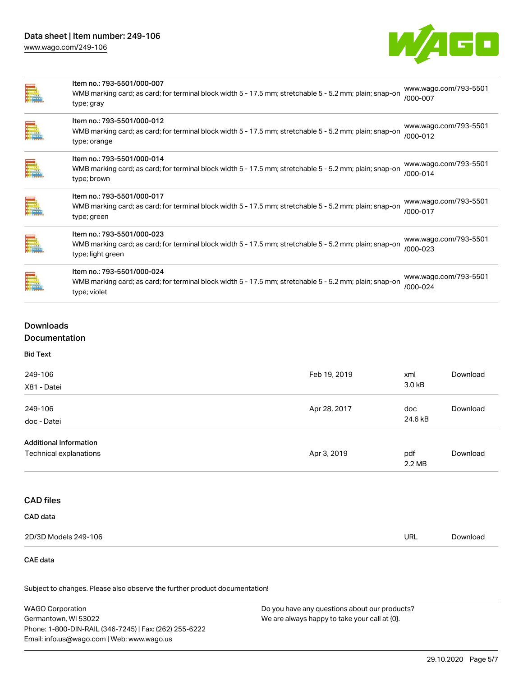## Data sheet | Item number: 249-106 [www.wago.com/249-106](http://www.wago.com/249-106)



|       | Item no.: 793-5501/000-007<br>WMB marking card; as card; for terminal block width 5 - 17.5 mm; stretchable 5 - 5.2 mm; plain; snap-on<br>type; gray        | www.wago.com/793-5501<br>/000-007 |
|-------|------------------------------------------------------------------------------------------------------------------------------------------------------------|-----------------------------------|
| E     | Item no.: 793-5501/000-012<br>WMB marking card; as card; for terminal block width 5 - 17.5 mm; stretchable 5 - 5.2 mm; plain; snap-on<br>type; orange      | www.wago.com/793-5501<br>/000-012 |
| E.    | Item no.: 793-5501/000-014<br>WMB marking card; as card; for terminal block width 5 - 17.5 mm; stretchable 5 - 5.2 mm; plain; snap-on<br>type; brown       | www.wago.com/793-5501<br>/000-014 |
| E.    | Item no.: 793-5501/000-017<br>WMB marking card; as card; for terminal block width 5 - 17.5 mm; stretchable 5 - 5.2 mm; plain; snap-on<br>type; green       | www.wago.com/793-5501<br>/000-017 |
| $\Xi$ | Item no.: 793-5501/000-023<br>WMB marking card; as card; for terminal block width 5 - 17.5 mm; stretchable 5 - 5.2 mm; plain; snap-on<br>type; light green | www.wago.com/793-5501<br>/000-023 |
| ▆     | Item no.: 793-5501/000-024<br>WMB marking card; as card; for terminal block width 5 - 17.5 mm; stretchable 5 - 5.2 mm; plain; snap-on<br>type; violet      | www.wago.com/793-5501<br>/000-024 |

## Downloads Documentation

| 249-106<br>X81 - Datei                                  | Feb 19, 2019 | xml<br>3.0 kB  | Download |
|---------------------------------------------------------|--------------|----------------|----------|
| 249-106<br>doc - Datei                                  | Apr 28, 2017 | doc<br>24.6 kB | Download |
| <b>Additional Information</b><br>Technical explanations | Apr 3, 2019  | pdf<br>2.2 MB  | Download |

## CAD files

| <b>CAD data</b> |
|-----------------|
|                 |

| 2D/3D Models 249-106 | URL<br>__ | Download |
|----------------------|-----------|----------|

#### CAE data

Subject to changes. Please also observe the further product documentation!

| WAGO Corporation                                       | Do you have any questions about our products? |
|--------------------------------------------------------|-----------------------------------------------|
| Germantown, WI 53022                                   | We are always happy to take your call at {0}. |
| Phone: 1-800-DIN-RAIL (346-7245)   Fax: (262) 255-6222 |                                               |
| Email: info.us@wago.com   Web: www.wago.us             |                                               |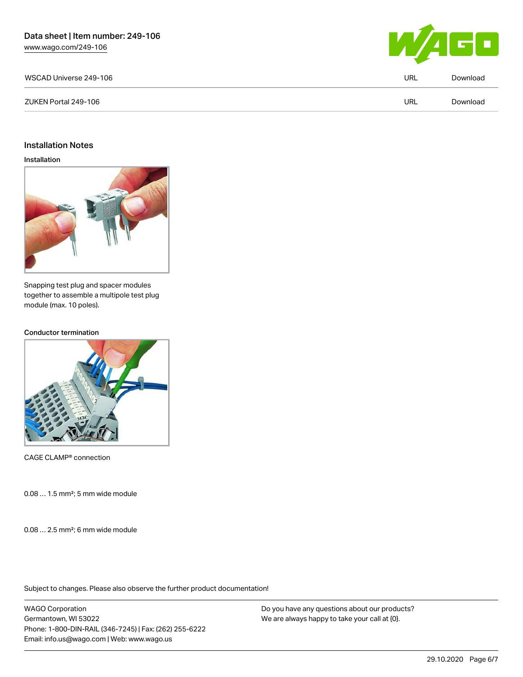

| WSCAD Universe 249-106 |      | Download |
|------------------------|------|----------|
| ZUKEN Portal 249-106   | 'JRL | Download |

#### Installation Notes

#### Installation



Snapping test plug and spacer modules together to assemble a multipole test plug module (max. 10 poles).

#### Conductor termination



CAGE CLAMP® connection

0.08 … 1.5 mm²; 5 mm wide module

0.08 … 2.5 mm²; 6 mm wide module

Subject to changes. Please also observe the further product documentation!

WAGO Corporation Germantown, WI 53022 Phone: 1-800-DIN-RAIL (346-7245) | Fax: (262) 255-6222 Email: info.us@wago.com | Web: www.wago.us

Do you have any questions about our products? We are always happy to take your call at {0}.